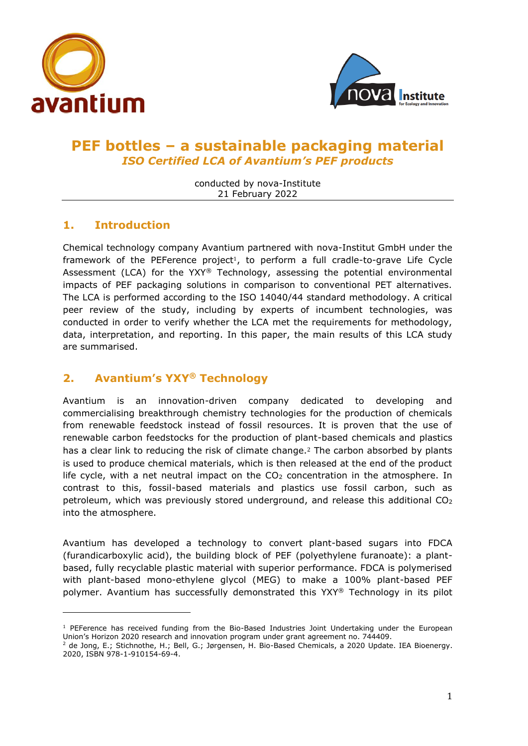



# **PEF bottles – a sustainable packaging material** *ISO Certified LCA of Avantium's PEF products*

conducted by nova-Institute 21 February 2022

## **1. Introduction**

Chemical technology company Avantium partnered with nova-Institut GmbH under the framework of the PEFerence project<sup>1</sup>, to perform a full cradle-to-grave Life Cycle Assessment (LCA) for the YXY® Technology, assessing the potential environmental impacts of PEF packaging solutions in comparison to conventional PET alternatives. The LCA is performed according to the ISO 14040/44 standard methodology. A critical peer review of the study, including by experts of incumbent technologies, was conducted in order to verify whether the LCA met the requirements for methodology, data, interpretation, and reporting. In this paper, the main results of this LCA study are summarised.

## **2. Avantium's YXY® Technology**

Avantium is an innovation-driven company dedicated to developing and commercialising breakthrough chemistry technologies for the production of chemicals from renewable feedstock instead of fossil resources. It is proven that the use of renewable carbon feedstocks for the production of plant-based chemicals and plastics has a clear link to reducing the risk of climate change.<sup>2</sup> The carbon absorbed by plants is used to produce chemical materials, which is then released at the end of the product life cycle, with a net neutral impact on the  $CO<sub>2</sub>$  concentration in the atmosphere. In contrast to this, fossil-based materials and plastics use fossil carbon, such as petroleum, which was previously stored underground, and release this additional  $CO<sub>2</sub>$ into the atmosphere.

Avantium has developed a technology to convert plant-based sugars into FDCA (furandicarboxylic acid), the building block of PEF (polyethylene furanoate): a plantbased, fully recyclable plastic material with superior performance. FDCA is polymerised with plant-based mono-ethylene glycol (MEG) to make a 100% plant-based PEF polymer. Avantium has successfully demonstrated this YXY® Technology in its pilot

 $1$  PEFerence has received funding from the Bio-Based Industries Joint Undertaking under the European Union's Horizon 2020 research and innovation program under grant agreement no. 744409.

<sup>2</sup> de Jong, E.; Stichnothe, H.; Bell, G.; Jørgensen, H. Bio-Based Chemicals, a 2020 Update. IEA Bioenergy. 2020, ISBN 978-1-910154-69-4.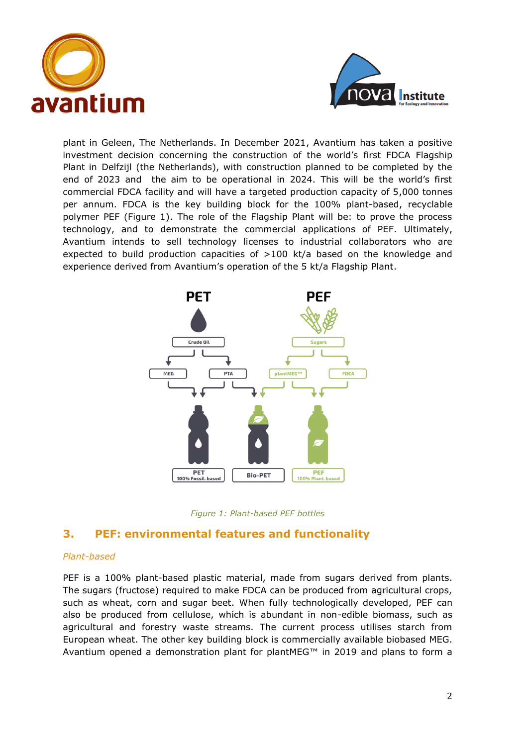



plant in Geleen, The Netherlands. In December 2021, Avantium has taken a positive investment decision concerning the construction of the world's first FDCA Flagship Plant in Delfzijl (the Netherlands), with construction planned to be completed by the end of 2023 and the aim to be operational in 2024. This will be the world's first commercial FDCA facility and will have a targeted production capacity of 5,000 tonnes per annum. FDCA is the key building block for the 100% plant-based, recyclable polymer PEF (Figure 1). The role of the Flagship Plant will be: to prove the process technology, and to demonstrate the commercial applications of PEF. Ultimately, Avantium intends to sell technology licenses to industrial collaborators who are expected to build production capacities of >100 kt/a based on the knowledge and experience derived from Avantium's operation of the 5 kt/a Flagship Plant.





## **3. PEF: environmental features and functionality**

#### *Plant-based*

PEF is a 100% plant-based plastic material, made from sugars derived from plants. The sugars (fructose) required to make FDCA can be produced from agricultural crops, such as wheat, corn and sugar beet. When fully technologically developed, PEF can also be produced from cellulose, which is abundant in non-edible biomass, such as agricultural and forestry waste streams. The current process utilises starch from European wheat. The other key building block is commercially available biobased MEG. Avantium opened a demonstration plant for plantMEG™ in 2019 and plans to form a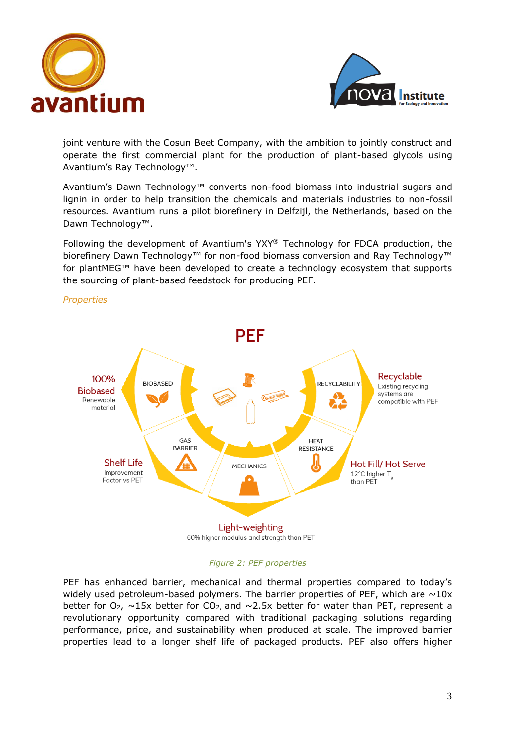



joint venture with the Cosun Beet Company, with the ambition to jointly construct and operate the first commercial plant for the production of plant-based glycols using Avantium's Ray Technology™.

Avantium's Dawn Technology™ converts non-food biomass into industrial sugars and lignin in order to help transition the chemicals and materials industries to non-fossil resources. Avantium runs a pilot biorefinery in Delfzijl, the Netherlands, based on the Dawn Technology™.

Following the development of Avantium's YXY® Technology for FDCA production, the biorefinery Dawn Technology™ for non-food biomass conversion and Ray Technology™ for plantMEG™ have been developed to create a technology ecosystem that supports the sourcing of plant-based feedstock for producing PEF.



## *Properties*

#### *Figure 2: PEF properties*

PEF has enhanced barrier, mechanical and thermal properties compared to today's widely used petroleum-based polymers. The barrier properties of PEF, which are  $\sim$ 10x better for  $O_2$ ,  $\sim$ 15x better for CO<sub>2</sub>, and  $\sim$ 2.5x better for water than PET, represent a revolutionary opportunity compared with traditional packaging solutions regarding performance, price, and sustainability when produced at scale. The improved barrier properties lead to a longer shelf life of packaged products. PEF also offers higher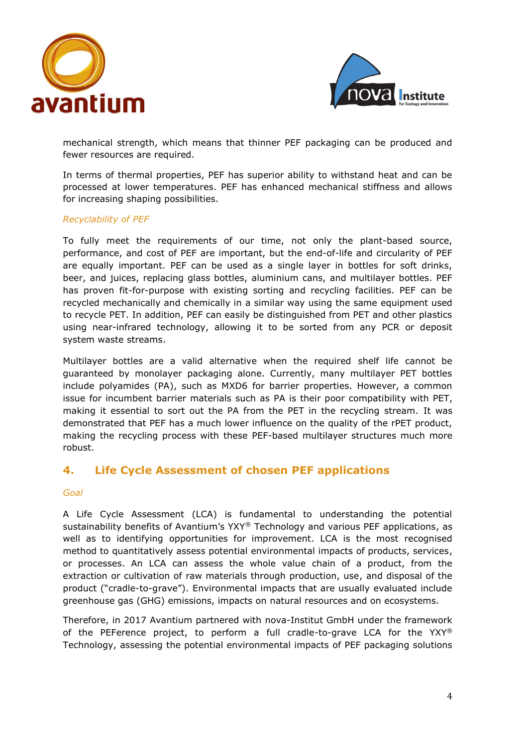



mechanical strength, which means that thinner PEF packaging can be produced and fewer resources are required.

In terms of thermal properties, PEF has superior ability to withstand heat and can be processed at lower temperatures. PEF has enhanced mechanical stiffness and allows for increasing shaping possibilities.

### *Recyclability of PEF*

To fully meet the requirements of our time, not only the plant-based source, performance, and cost of PEF are important, but the end-of-life and circularity of PEF are equally important. PEF can be used as a single layer in bottles for soft drinks, beer, and juices, replacing glass bottles, aluminium cans, and multilayer bottles. PEF has proven fit-for-purpose with existing sorting and recycling facilities. PEF can be recycled mechanically and chemically in a similar way using the same equipment used to recycle PET. In addition, PEF can easily be distinguished from PET and other plastics using near-infrared technology, allowing it to be sorted from any PCR or deposit system waste streams.

Multilayer bottles are a valid alternative when the required shelf life cannot be guaranteed by monolayer packaging alone. Currently, many multilayer PET bottles include polyamides (PA), such as MXD6 for barrier properties. However, a common issue for incumbent barrier materials such as PA is their poor compatibility with PET, making it essential to sort out the PA from the PET in the recycling stream. It was demonstrated that PEF has a much lower influence on the quality of the rPET product, making the recycling process with these PEF-based multilayer structures much more robust.

## **4. Life Cycle Assessment of chosen PEF applications**

#### *Goal*

A Life Cycle Assessment (LCA) is fundamental to understanding the potential sustainability benefits of Avantium's YXY® Technology and various PEF applications, as well as to identifying opportunities for improvement. LCA is the most recognised method to quantitatively assess potential environmental impacts of products, services, or processes. An LCA can assess the whole value chain of a product, from the extraction or cultivation of raw materials through production, use, and disposal of the product ("cradle-to-grave"). Environmental impacts that are usually evaluated include greenhouse gas (GHG) emissions, impacts on natural resources and on ecosystems.

Therefore, in 2017 Avantium partnered with nova-Institut GmbH under the framework of the PEFerence project, to perform a full cradle-to-grave LCA for the YXY® Technology, assessing the potential environmental impacts of PEF packaging solutions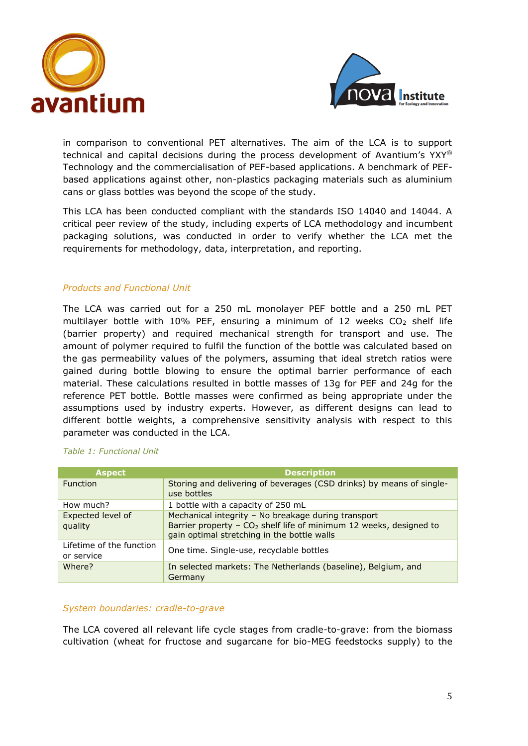



in comparison to conventional PET alternatives. The aim of the LCA is to support technical and capital decisions during the process development of Avantium's YXY® Technology and the commercialisation of PEF-based applications. A benchmark of PEFbased applications against other, non-plastics packaging materials such as aluminium cans or glass bottles was beyond the scope of the study.

This LCA has been conducted compliant with the standards ISO 14040 and 14044. A critical peer review of the study, including experts of LCA methodology and incumbent packaging solutions, was conducted in order to verify whether the LCA met the requirements for methodology, data, interpretation, and reporting.

## *Products and Functional Unit*

The LCA was carried out for a 250 mL monolayer PEF bottle and a 250 mL PET multilayer bottle with 10% PEF, ensuring a minimum of 12 weeks  $CO<sub>2</sub>$  shelf life (barrier property) and required mechanical strength for transport and use. The amount of polymer required to fulfil the function of the bottle was calculated based on the gas permeability values of the polymers, assuming that ideal stretch ratios were gained during bottle blowing to ensure the optimal barrier performance of each material. These calculations resulted in bottle masses of 13g for PEF and 24g for the reference PET bottle. Bottle masses were confirmed as being appropriate under the assumptions used by industry experts. However, as different designs can lead to different bottle weights, a comprehensive sensitivity analysis with respect to this parameter was conducted in the LCA.

| <b>Aspect</b>                          | <b>Description</b>                                                                                                                                                                   |
|----------------------------------------|--------------------------------------------------------------------------------------------------------------------------------------------------------------------------------------|
| <b>Function</b>                        | Storing and delivering of beverages (CSD drinks) by means of single-<br>use bottles                                                                                                  |
| How much?                              | 1 bottle with a capacity of 250 mL                                                                                                                                                   |
| Expected level of<br>quality           | Mechanical integrity - No breakage during transport<br>Barrier property - CO <sub>2</sub> shelf life of minimum 12 weeks, designed to<br>gain optimal stretching in the bottle walls |
| Lifetime of the function<br>or service | One time. Single-use, recyclable bottles                                                                                                                                             |
| Where?                                 | In selected markets: The Netherlands (baseline), Belgium, and<br>Germany                                                                                                             |

### *Table 1: Functional Unit*

#### *System boundaries: cradle-to-grave*

The LCA covered all relevant life cycle stages from cradle-to-grave: from the biomass cultivation (wheat for fructose and sugarcane for bio-MEG feedstocks supply) to the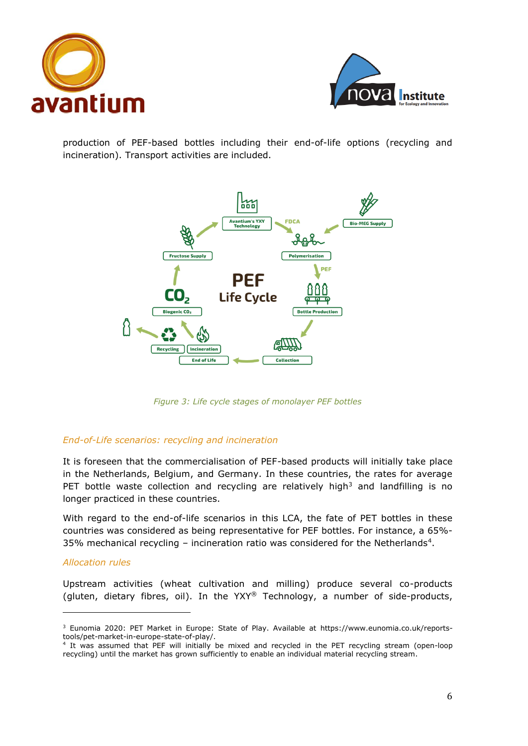



production of PEF-based bottles including their end-of-life options (recycling and incineration). Transport activities are included.



*Figure 3: Life cycle stages of monolayer PEF bottles*

## *End-of-Life scenarios: recycling and incineration*

It is foreseen that the commercialisation of PEF-based products will initially take place in the Netherlands, Belgium, and Germany. In these countries, the rates for average PET bottle waste collection and recycling are relatively high<sup>3</sup> and landfilling is no longer practiced in these countries.

With regard to the end-of-life scenarios in this LCA, the fate of PET bottles in these countries was considered as being representative for PEF bottles. For instance, a 65%- 35% mechanical recycling – incineration ratio was considered for the Netherlands<sup>4</sup>.

#### *Allocation rules*

Upstream activities (wheat cultivation and milling) produce several co-products (gluten, dietary fibres, oil). In the YXY® Technology, a number of side-products,

<sup>&</sup>lt;sup>3</sup> Eunomia 2020: PET Market in Europe: State of Play. Available at [https://www.eunomia.co.uk/reports](https://www.eunomia.co.uk/reports-tools/pet-market-in-europe-state-of-play/)[tools/pet-market-in-europe-state-of-play/.](https://www.eunomia.co.uk/reports-tools/pet-market-in-europe-state-of-play/)

<sup>4</sup> It was assumed that PEF will initially be mixed and recycled in the PET recycling stream (open-loop recycling) until the market has grown sufficiently to enable an individual material recycling stream.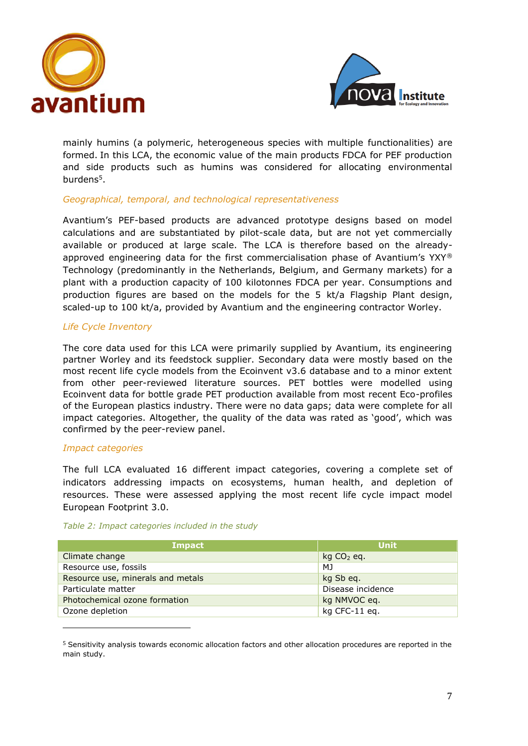



mainly humins (a polymeric, heterogeneous species with multiple functionalities) are formed. In this LCA, the economic value of the main products FDCA for PEF production and side products such as humins was considered for allocating environmental burdens<sup>5</sup>.

## *Geographical, temporal, and technological representativeness*

Avantium's PEF-based products are advanced prototype designs based on model calculations and are substantiated by pilot-scale data, but are not yet commercially available or produced at large scale. The LCA is therefore based on the alreadyapproved engineering data for the first commercialisation phase of Avantium's YXY® Technology (predominantly in the Netherlands, Belgium, and Germany markets) for a plant with a production capacity of 100 kilotonnes FDCA per year. Consumptions and production figures are based on the models for the 5 kt/a Flagship Plant design, scaled-up to 100 kt/a, provided by Avantium and the engineering contractor Worley.

## *Life Cycle Inventory*

The core data used for this LCA were primarily supplied by Avantium, its engineering partner Worley and its feedstock supplier. Secondary data were mostly based on the most recent life cycle models from the Ecoinvent v3.6 database and to a minor extent from other peer-reviewed literature sources. PET bottles were modelled using Ecoinvent data for bottle grade PET production available from most recent Eco-profiles of the European plastics industry. There were no data gaps; data were complete for all impact categories. Altogether, the quality of the data was rated as 'good', which was confirmed by the peer-review panel.

## *Impact categories*

The full LCA evaluated 16 different impact categories, covering a complete set of indicators addressing impacts on ecosystems, human health, and depletion of resources. These were assessed applying the most recent life cycle impact model European Footprint 3.0.

#### *Table 2: Impact categories included in the study*

| Impact                            | Unit              |
|-----------------------------------|-------------------|
| Climate change                    | $kg CO2$ eq.      |
| Resource use, fossils             | MJ                |
| Resource use, minerals and metals | kg Sb eq.         |
| Particulate matter                | Disease incidence |
| Photochemical ozone formation     | kg NMVOC eg.      |
| Ozone depletion                   | kg CFC-11 eq.     |

<sup>5</sup> Sensitivity analysis towards economic allocation factors and other allocation procedures are reported in the main study.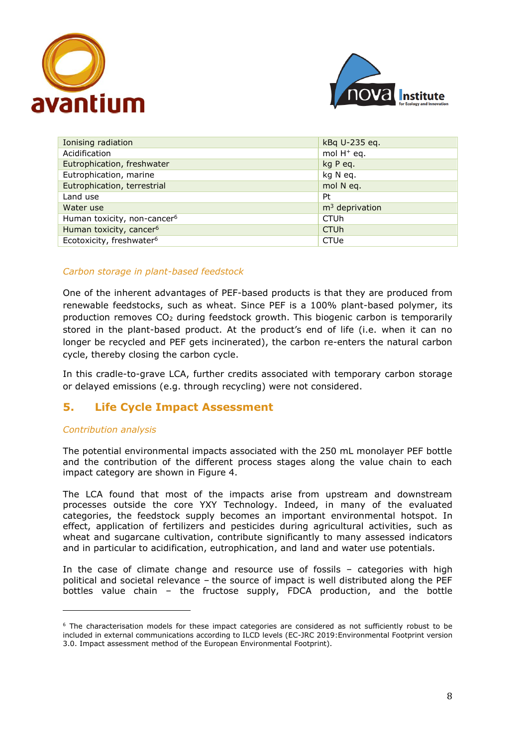



| Ionising radiation                      | kBq U-235 eq.          |
|-----------------------------------------|------------------------|
| Acidification                           | mol $H^+$ eq.          |
| Eutrophication, freshwater              | kg P eq.               |
| Eutrophication, marine                  | kg N eg.               |
| Eutrophication, terrestrial             | mol N eq.              |
| Land use                                | Pt                     |
| Water use                               | $m3$ deprivation       |
| Human toxicity, non-cancer <sup>6</sup> | <b>CTUh</b>            |
| Human toxicity, cancer <sup>6</sup>     | <b>CTU<sub>h</sub></b> |
| Ecotoxicity, freshwater <sup>6</sup>    | CTUe                   |

## *Carbon storage in plant-based feedstock*

One of the inherent advantages of PEF-based products is that they are produced from renewable feedstocks, such as wheat. Since PEF is a 100% plant-based polymer, its production removes  $CO<sub>2</sub>$  during feedstock growth. This biogenic carbon is temporarily stored in the plant-based product. At the product's end of life (i.e. when it can no longer be recycled and PEF gets incinerated), the carbon re-enters the natural carbon cycle, thereby closing the carbon cycle.

In this cradle-to-grave LCA, further credits associated with temporary carbon storage or delayed emissions (e.g. through recycling) were not considered.

## **5. Life Cycle Impact Assessment**

#### *Contribution analysis*

The potential environmental impacts associated with the 250 mL monolayer PEF bottle and the contribution of the different process stages along the value chain to each impact category are shown in Figure 4.

The LCA found that most of the impacts arise from upstream and downstream processes outside the core YXY Technology. Indeed, in many of the evaluated categories, the feedstock supply becomes an important environmental hotspot. In effect, application of fertilizers and pesticides during agricultural activities, such as wheat and sugarcane cultivation, contribute significantly to many assessed indicators and in particular to acidification, eutrophication, and land and water use potentials.

In the case of climate change and resource use of fossils – categories with high political and societal relevance – the source of impact is well distributed along the PEF bottles value chain – the fructose supply, FDCA production, and the bottle

 $6$  The characterisation models for these impact categories are considered as not sufficiently robust to be included in external communications according to ILCD levels (EC-JRC 2019:Environmental Footprint version 3.0. Impact assessment method of the European Environmental Footprint).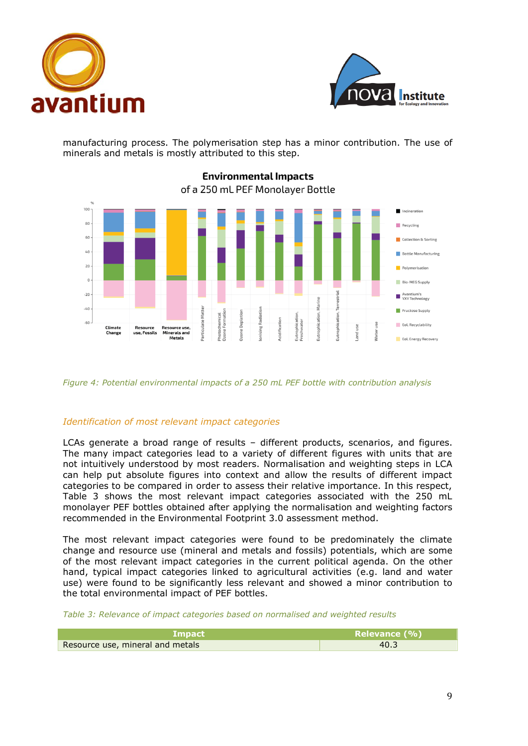



manufacturing process. The polymerisation step has a minor contribution. The use of minerals and metals is mostly attributed to this step.



**Environmental Impacts** of a 250 mL PEF Monolayer Bottle

#### *Figure 4: Potential environmental impacts of a 250 mL PEF bottle with contribution analysis*

#### *Identification of most relevant impact categories*

LCAs generate a broad range of results – different products, scenarios, and figures. The many impact categories lead to a variety of different figures with units that are not intuitively understood by most readers. Normalisation and weighting steps in LCA can help put absolute figures into context and allow the results of different impact categories to be compared in order to assess their relative importance. In this respect, Table 3 shows the most relevant impact categories associated with the 250 mL monolayer PEF bottles obtained after applying the normalisation and weighting factors recommended in the Environmental Footprint 3.0 assessment method.

The most relevant impact categories were found to be predominately the climate change and resource use (mineral and metals and fossils) potentials, which are some of the most relevant impact categories in the current political agenda. On the other hand, typical impact categories linked to agricultural activities (e.g. land and water use) were found to be significantly less relevant and showed a minor contribution to the total environmental impact of PEF bottles.

*Table 3: Relevance of impact categories based on normalised and weighted results* 

| <b>Impact</b>                    | Relevance (%) |
|----------------------------------|---------------|
| Resource use, mineral and metals | 40.3          |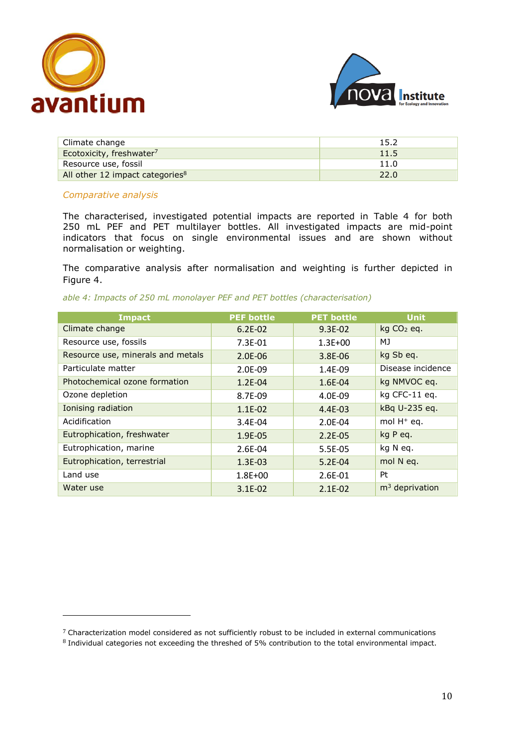



| Climate change                              | 15.2 |
|---------------------------------------------|------|
| Ecotoxicity, freshwater <sup>7</sup>        | 11.5 |
| Resource use, fossil                        | 11.0 |
| All other 12 impact categories <sup>8</sup> | 22.0 |

#### *Comparative analysis*

The characterised, investigated potential impacts are reported in Table 4 for both 250 mL PEF and PET multilayer bottles. All investigated impacts are mid-point indicators that focus on single environmental issues and are shown without normalisation or weighting.

The comparative analysis after normalisation and weighting is further depicted in Figure 4.

|  |  |  | able 4: Impacts of 250 mL monolayer PEF and PET bottles (characterisation) |
|--|--|--|----------------------------------------------------------------------------|
|  |  |  |                                                                            |

| <b>Impact</b>                     | <b>PEF bottle</b> | <b>PET bottle</b> | <b>Unit</b>       |
|-----------------------------------|-------------------|-------------------|-------------------|
| Climate change                    | $6.2E-02$         | 9.3E-02           | $kq CO2$ eq.      |
| Resource use, fossils             | $7.3E-01$         | $1.3E + 00$       | MJ                |
| Resource use, minerals and metals | 2.0E-06           | 3.8E-06           | kg Sb eq.         |
| Particulate matter                | 2.0E-09           | 1.4E-09           | Disease incidence |
| Photochemical ozone formation     | $1.2E - 04$       | 1.6E-04           | kg NMVOC eq.      |
| Ozone depletion                   | 8.7E-09           | 4.0E-09           | kg CFC-11 eq.     |
| Ionising radiation                | $1.1E-02$         | $4.4E-03$         | kBq U-235 eq.     |
| Acidification                     | $3.4E-04$         | 2.0E-04           | mol $H^+$ eq.     |
| Eutrophication, freshwater        | 1.9E-05           | $2.2E-05$         | kg P eq.          |
| Eutrophication, marine            | 2.6E-04           | 5.5E-05           | kg N eq.          |
| Eutrophication, terrestrial       | 1.3E-03           | $5.2E-04$         | mol N eq.         |
| Land use                          | $1.8E + 00$       | 2.6E-01           | Pt                |
| Water use                         | $3.1E-02$         | $2.1E-02$         | $m3$ deprivation  |

<sup>7</sup> Characterization model considered as not sufficiently robust to be included in external communications

<sup>8</sup> Individual categories not exceeding the threshed of 5% contribution to the total environmental impact.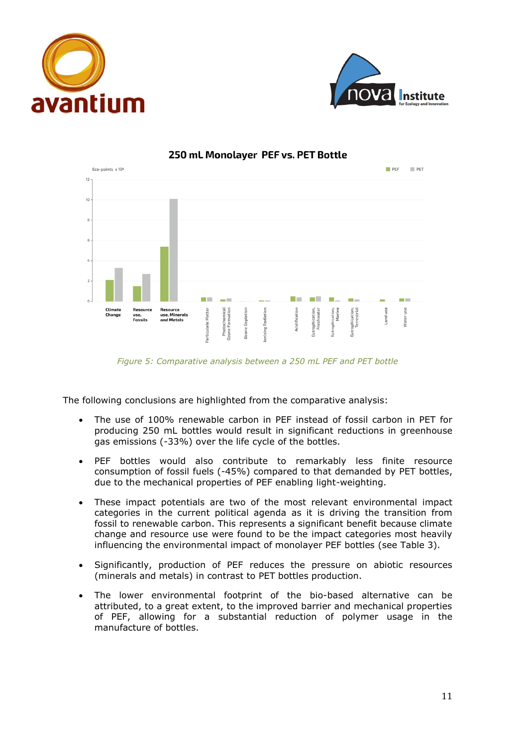





## 250 mL Monolaver PEF vs. PET Bottle

*Figure 5: Comparative analysis between a 250 mL PEF and PET bottle*

The following conclusions are highlighted from the comparative analysis:

- The use of 100% renewable carbon in PEF instead of fossil carbon in PET for producing 250 mL bottles would result in significant reductions in greenhouse gas emissions (-33%) over the life cycle of the bottles.
- PEF bottles would also contribute to remarkably less finite resource consumption of fossil fuels (-45%) compared to that demanded by PET bottles, due to the mechanical properties of PEF enabling light-weighting.
- These impact potentials are two of the most relevant environmental impact categories in the current political agenda as it is driving the transition from fossil to renewable carbon. This represents a significant benefit because climate change and resource use were found to be the impact categories most heavily influencing the environmental impact of monolayer PEF bottles (see Table 3).
- Significantly, production of PEF reduces the pressure on abiotic resources (minerals and metals) in contrast to PET bottles production.
- The lower environmental footprint of the bio-based alternative can be attributed, to a great extent, to the improved barrier and mechanical properties of PEF, allowing for a substantial reduction of polymer usage in the manufacture of bottles.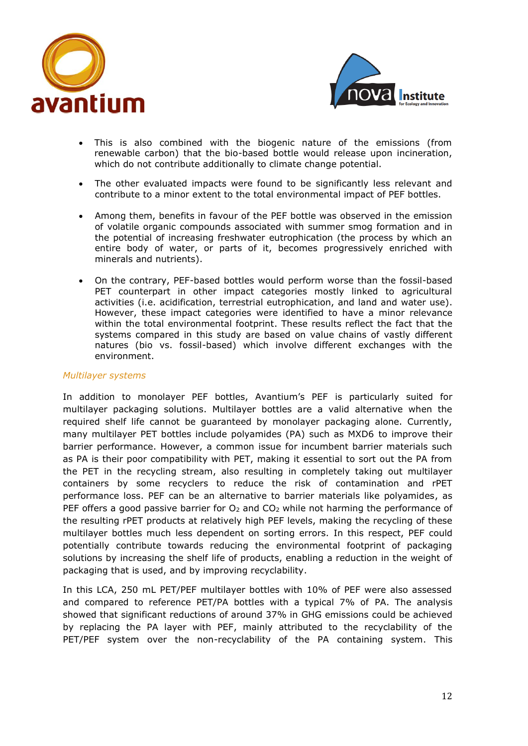



- This is also combined with the biogenic nature of the emissions (from renewable carbon) that the bio-based bottle would release upon incineration, which do not contribute additionally to climate change potential.
- The other evaluated impacts were found to be significantly less relevant and contribute to a minor extent to the total environmental impact of PEF bottles.
- Among them, benefits in favour of the PEF bottle was observed in the emission of volatile organic compounds associated with summer smog formation and in the potential of increasing freshwater eutrophication (the process by which an entire body of water, or parts of it, becomes progressively enriched with minerals and nutrients).
- On the contrary, PEF-based bottles would perform worse than the fossil-based PET counterpart in other impact categories mostly linked to agricultural activities (i.e. acidification, terrestrial eutrophication, and land and water use). However, these impact categories were identified to have a minor relevance within the total environmental footprint. These results reflect the fact that the systems compared in this study are based on value chains of vastly different natures (bio vs. fossil-based) which involve different exchanges with the environment.

#### *Multilayer systems*

In addition to monolayer PEF bottles, Avantium's PEF is particularly suited for multilayer packaging solutions. Multilayer bottles are a valid alternative when the required shelf life cannot be guaranteed by monolayer packaging alone. Currently, many multilayer PET bottles include polyamides (PA) such as MXD6 to improve their barrier performance. However, a common issue for incumbent barrier materials such as PA is their poor compatibility with PET, making it essential to sort out the PA from the PET in the recycling stream, also resulting in completely taking out multilayer containers by some recyclers to reduce the risk of contamination and rPET performance loss. PEF can be an alternative to barrier materials like polyamides, as PEF offers a good passive barrier for  $O<sub>2</sub>$  and  $CO<sub>2</sub>$  while not harming the performance of the resulting rPET products at relatively high PEF levels, making the recycling of these multilayer bottles much less dependent on sorting errors. In this respect, PEF could potentially contribute towards reducing the environmental footprint of packaging solutions by increasing the shelf life of products, enabling a reduction in the weight of packaging that is used, and by improving recyclability.

In this LCA, 250 mL PET/PEF multilayer bottles with 10% of PEF were also assessed and compared to reference PET/PA bottles with a typical 7% of PA. The analysis showed that significant reductions of around 37% in GHG emissions could be achieved by replacing the PA layer with PEF, mainly attributed to the recyclability of the PET/PEF system over the non-recyclability of the PA containing system. This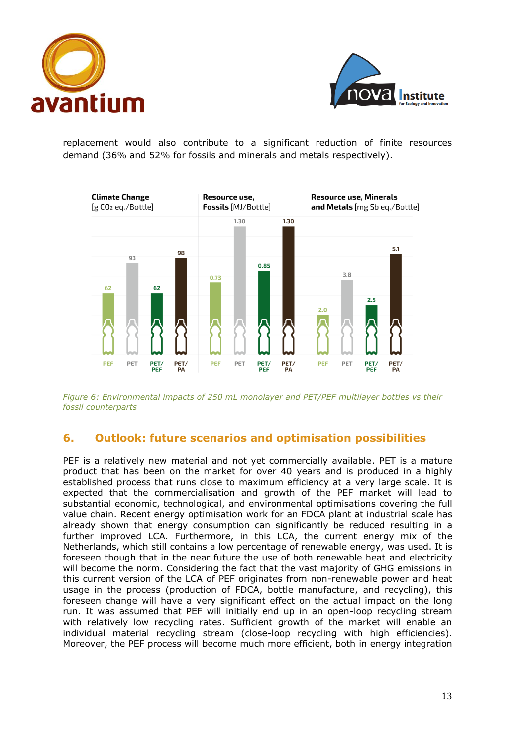



replacement would also contribute to a significant reduction of finite resources demand (36% and 52% for fossils and minerals and metals respectively).



*Figure 6: Environmental impacts of 250 mL monolayer and PET/PEF multilayer bottles vs their fossil counterparts*

## **6. Outlook: future scenarios and optimisation possibilities**

PEF is a relatively new material and not yet commercially available. PET is a mature product that has been on the market for over 40 years and is produced in a highly established process that runs close to maximum efficiency at a very large scale. It is expected that the commercialisation and growth of the PEF market will lead to substantial economic, technological, and environmental optimisations covering the full value chain. Recent energy optimisation work for an FDCA plant at industrial scale has already shown that energy consumption can significantly be reduced resulting in a further improved LCA. Furthermore, in this LCA, the current energy mix of the Netherlands, which still contains a low percentage of renewable energy, was used. It is foreseen though that in the near future the use of both renewable heat and electricity will become the norm. Considering the fact that the vast majority of GHG emissions in this current version of the LCA of PEF originates from non-renewable power and heat usage in the process (production of FDCA, bottle manufacture, and recycling), this foreseen change will have a very significant effect on the actual impact on the long run. It was assumed that PEF will initially end up in an open-loop recycling stream with relatively low recycling rates. Sufficient growth of the market will enable an individual material recycling stream (close-loop recycling with high efficiencies). Moreover, the PEF process will become much more efficient, both in energy integration